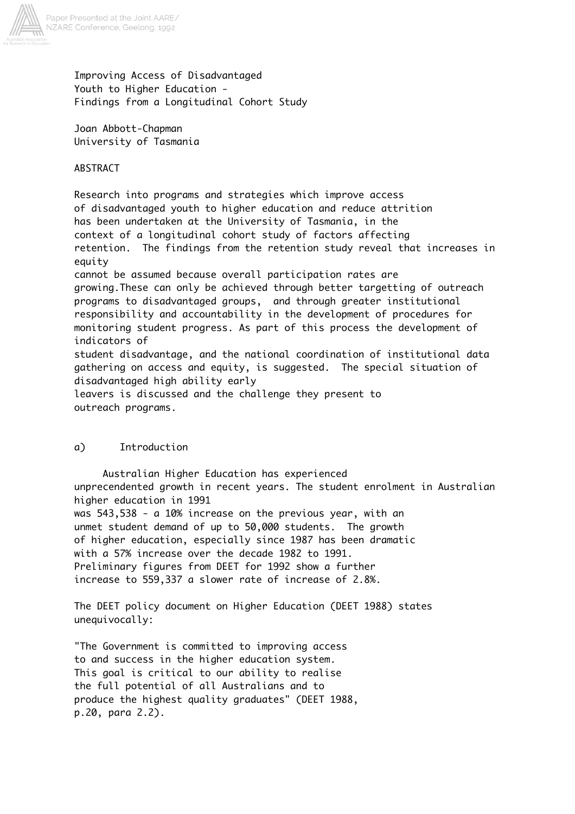

Improving Access of Disadvantaged Youth to Higher Education - Findings from a Longitudinal Cohort Study

Joan Abbott-Chapman University of Tasmania

ABSTRACT

Research into programs and strategies which improve access of disadvantaged youth to higher education and reduce attrition has been undertaken at the University of Tasmania, in the context of a longitudinal cohort study of factors affecting retention. The findings from the retention study reveal that increases in equity cannot be assumed because overall participation rates are growing.These can only be achieved through better targetting of outreach programs to disadvantaged groups, and through greater institutional responsibility and accountability in the development of procedures for monitoring student progress. As part of this process the development of indicators of student disadvantage, and the national coordination of institutional data gathering on access and equity, is suggested. The special situation of disadvantaged high ability early leavers is discussed and the challenge they present to outreach programs.

# a) Introduction

 Australian Higher Education has experienced unprecendented growth in recent years. The student enrolment in Australian higher education in 1991 was 543,538 - a 10% increase on the previous year, with an unmet student demand of up to 50,000 students. The growth of higher education, especially since 1987 has been dramatic with a 57% increase over the decade 1982 to 1991. Preliminary figures from DEET for 1992 show a further increase to 559,337 a slower rate of increase of 2.8%.

The DEET policy document on Higher Education (DEET 1988) states unequivocally:

"The Government is committed to improving access to and success in the higher education system. This goal is critical to our ability to realise the full potential of all Australians and to produce the highest quality graduates" (DEET 1988, p.20, para 2.2).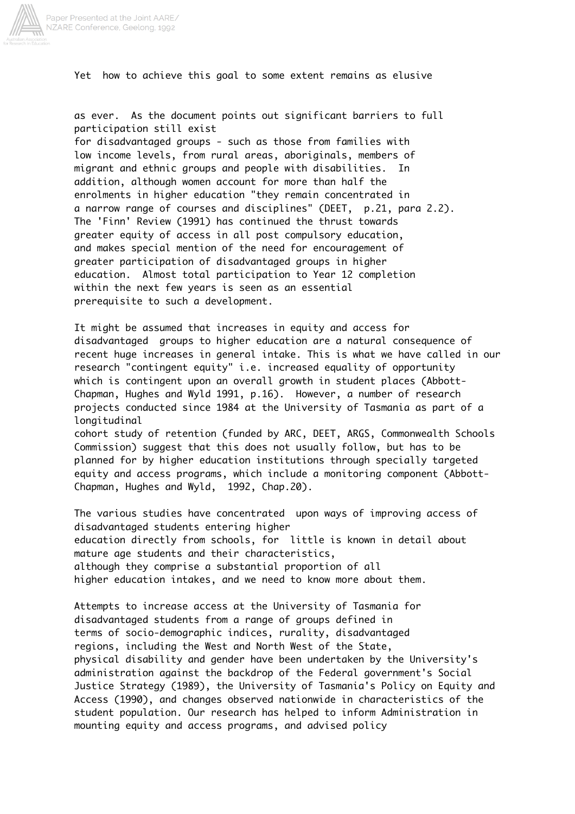

Yet how to achieve this goal to some extent remains as elusive

as ever. As the document points out significant barriers to full participation still exist

for disadvantaged groups - such as those from families with low income levels, from rural areas, aboriginals, members of migrant and ethnic groups and people with disabilities. In addition, although women account for more than half the enrolments in higher education "they remain concentrated in a narrow range of courses and disciplines" (DEET, p.21, para 2.2). The 'Finn' Review (1991) has continued the thrust towards greater equity of access in all post compulsory education, and makes special mention of the need for encouragement of greater participation of disadvantaged groups in higher education. Almost total participation to Year 12 completion within the next few years is seen as an essential prerequisite to such a development.

It might be assumed that increases in equity and access for disadvantaged groups to higher education are a natural consequence of recent huge increases in general intake. This is what we have called in our research "contingent equity" i.e. increased equality of opportunity which is contingent upon an overall growth in student places (Abbott-Chapman, Hughes and Wyld 1991, p.16). However, a number of research projects conducted since 1984 at the University of Tasmania as part of a longitudinal cohort study of retention (funded by ARC, DEET, ARGS, Commonwealth Schools Commission) suggest that this does not usually follow, but has to be planned for by higher education institutions through specially targeted

equity and access programs, which include a monitoring component (Abbott-Chapman, Hughes and Wyld, 1992, Chap.20).

The various studies have concentrated upon ways of improving access of disadvantaged students entering higher education directly from schools, for little is known in detail about mature age students and their characteristics, although they comprise a substantial proportion of all higher education intakes, and we need to know more about them.

Attempts to increase access at the University of Tasmania for disadvantaged students from a range of groups defined in terms of socio-demographic indices, rurality, disadvantaged regions, including the West and North West of the State, physical disability and gender have been undertaken by the University's administration against the backdrop of the Federal government's Social Justice Strategy (1989), the University of Tasmania's Policy on Equity and Access (1990), and changes observed nationwide in characteristics of the student population. Our research has helped to inform Administration in mounting equity and access programs, and advised policy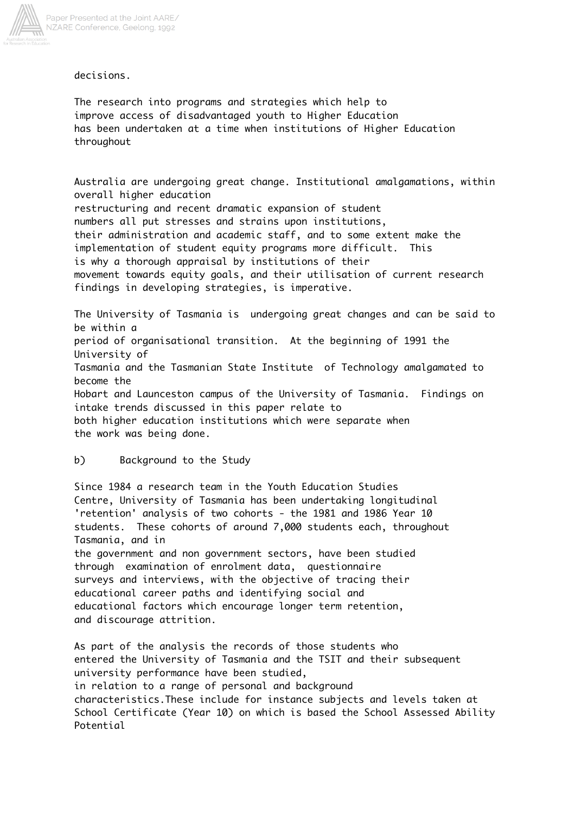

decisions.

The research into programs and strategies which help to improve access of disadvantaged youth to Higher Education has been undertaken at a time when institutions of Higher Education throughout

Australia are undergoing great change. Institutional amalgamations, within overall higher education restructuring and recent dramatic expansion of student numbers all put stresses and strains upon institutions, their administration and academic staff, and to some extent make the implementation of student equity programs more difficult. This is why a thorough appraisal by institutions of their movement towards equity goals, and their utilisation of current research findings in developing strategies, is imperative.

The University of Tasmania is undergoing great changes and can be said to be within a period of organisational transition. At the beginning of 1991 the University of Tasmania and the Tasmanian State Institute of Technology amalgamated to become the Hobart and Launceston campus of the University of Tasmania. Findings on intake trends discussed in this paper relate to both higher education institutions which were separate when the work was being done.

# b) Background to the Study

Since 1984 a research team in the Youth Education Studies Centre, University of Tasmania has been undertaking longitudinal 'retention' analysis of two cohorts - the 1981 and 1986 Year 10 students. These cohorts of around 7,000 students each, throughout Tasmania, and in the government and non government sectors, have been studied through examination of enrolment data, questionnaire surveys and interviews, with the objective of tracing their educational career paths and identifying social and educational factors which encourage longer term retention,

and discourage attrition.

As part of the analysis the records of those students who entered the University of Tasmania and the TSIT and their subsequent university performance have been studied, in relation to a range of personal and background characteristics.These include for instance subjects and levels taken at School Certificate (Year 10) on which is based the School Assessed Ability Potential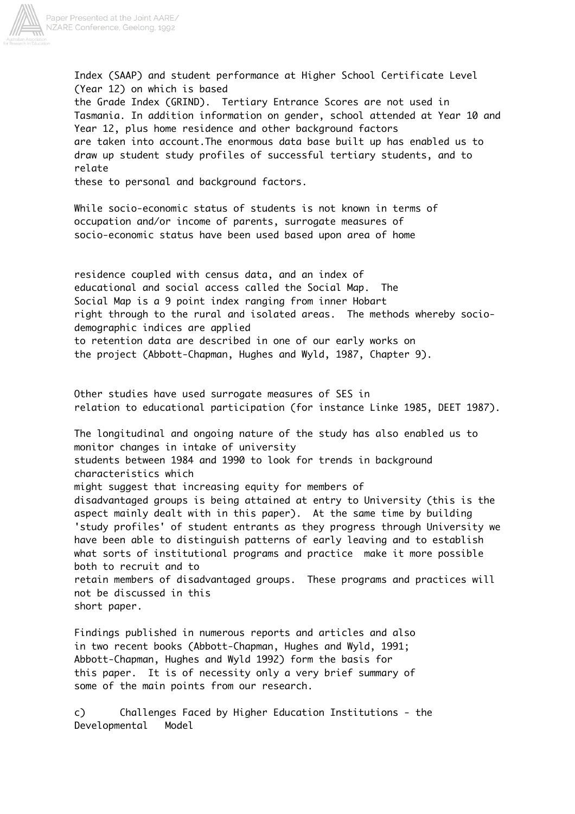

Index (SAAP) and student performance at Higher School Certificate Level (Year 12) on which is based the Grade Index (GRIND). Tertiary Entrance Scores are not used in Tasmania. In addition information on gender, school attended at Year 10 and Year 12, plus home residence and other background factors are taken into account.The enormous data base built up has enabled us to draw up student study profiles of successful tertiary students, and to relate

these to personal and background factors.

While socio-economic status of students is not known in terms of occupation and/or income of parents, surrogate measures of socio-economic status have been used based upon area of home

residence coupled with census data, and an index of educational and social access called the Social Map. The Social Map is a 9 point index ranging from inner Hobart right through to the rural and isolated areas. The methods whereby sociodemographic indices are applied to retention data are described in one of our early works on the project (Abbott-Chapman, Hughes and Wyld, 1987, Chapter 9).

Other studies have used surrogate measures of SES in relation to educational participation (for instance Linke 1985, DEET 1987).

The longitudinal and ongoing nature of the study has also enabled us to monitor changes in intake of university students between 1984 and 1990 to look for trends in background characteristics which might suggest that increasing equity for members of disadvantaged groups is being attained at entry to University (this is the aspect mainly dealt with in this paper). At the same time by building 'study profiles' of student entrants as they progress through University we have been able to distinguish patterns of early leaving and to establish what sorts of institutional programs and practice make it more possible both to recruit and to retain members of disadvantaged groups. These programs and practices will not be discussed in this short paper.

Findings published in numerous reports and articles and also in two recent books (Abbott-Chapman, Hughes and Wyld, 1991; Abbott-Chapman, Hughes and Wyld 1992) form the basis for this paper. It is of necessity only a very brief summary of some of the main points from our research.

c) Challenges Faced by Higher Education Institutions - the Developmental Model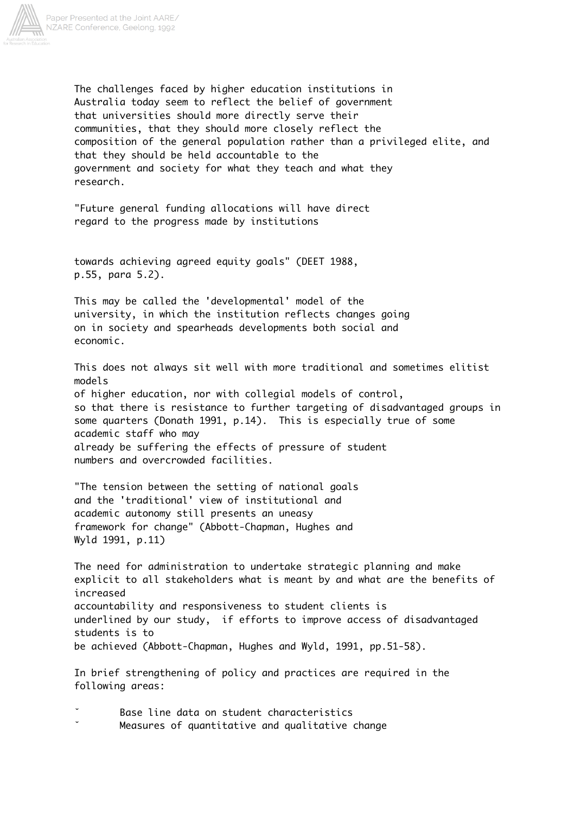

The challenges faced by higher education institutions in Australia today seem to reflect the belief of government that universities should more directly serve their communities, that they should more closely reflect the composition of the general population rather than a privileged elite, and that they should be held accountable to the government and society for what they teach and what they research.

"Future general funding allocations will have direct regard to the progress made by institutions

towards achieving agreed equity goals" (DEET 1988, p.55, para 5.2).

This may be called the 'developmental' model of the university, in which the institution reflects changes going on in society and spearheads developments both social and economic.

This does not always sit well with more traditional and sometimes elitist models of higher education, nor with collegial models of control, so that there is resistance to further targeting of disadvantaged groups in some quarters (Donath 1991, p.14). This is especially true of some academic staff who may already be suffering the effects of pressure of student numbers and overcrowded facilities.

"The tension between the setting of national goals and the 'traditional' view of institutional and academic autonomy still presents an uneasy framework for change" (Abbott-Chapman, Hughes and Wyld 1991, p.11)

The need for administration to undertake strategic planning and make explicit to all stakeholders what is meant by and what are the benefits of increased accountability and responsiveness to student clients is underlined by our study, if efforts to improve access of disadvantaged students is to be achieved (Abbott-Chapman, Hughes and Wyld, 1991, pp.51-58).

In brief strengthening of policy and practices are required in the following areas:

Base line data on student characteristics Measures of quantitative and qualitative change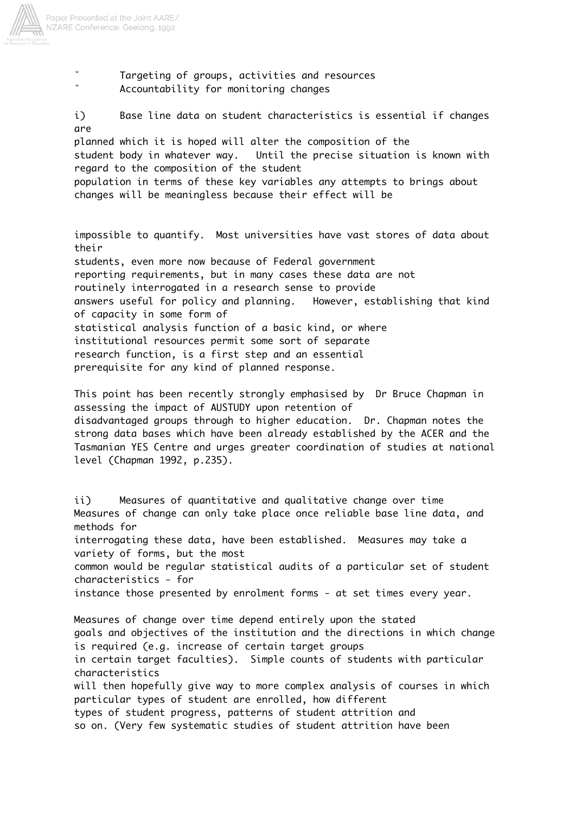

Targeting of groups, activities and resources Accountability for monitoring changes

i) Base line data on student characteristics is essential if changes are

planned which it is hoped will alter the composition of the student body in whatever way. Until the precise situation is known with regard to the composition of the student

population in terms of these key variables any attempts to brings about changes will be meaningless because their effect will be

impossible to quantify. Most universities have vast stores of data about their students, even more now because of Federal government reporting requirements, but in many cases these data are not routinely interrogated in a research sense to provide answers useful for policy and planning. However, establishing that kind of capacity in some form of statistical analysis function of a basic kind, or where institutional resources permit some sort of separate research function, is a first step and an essential prerequisite for any kind of planned response.

This point has been recently strongly emphasised by Dr Bruce Chapman in assessing the impact of AUSTUDY upon retention of disadvantaged groups through to higher education. Dr. Chapman notes the strong data bases which have been already established by the ACER and the Tasmanian YES Centre and urges greater coordination of studies at national level (Chapman 1992, p.235).

ii) Measures of quantitative and qualitative change over time Measures of change can only take place once reliable base line data, and methods for interrogating these data, have been established. Measures may take a variety of forms, but the most common would be regular statistical audits of a particular set of student characteristics - for instance those presented by enrolment forms - at set times every year.

Measures of change over time depend entirely upon the stated goals and objectives of the institution and the directions in which change is required (e.g. increase of certain target groups in certain target faculties). Simple counts of students with particular characteristics will then hopefully give way to more complex analysis of courses in which particular types of student are enrolled, how different types of student progress, patterns of student attrition and so on. (Very few systematic studies of student attrition have been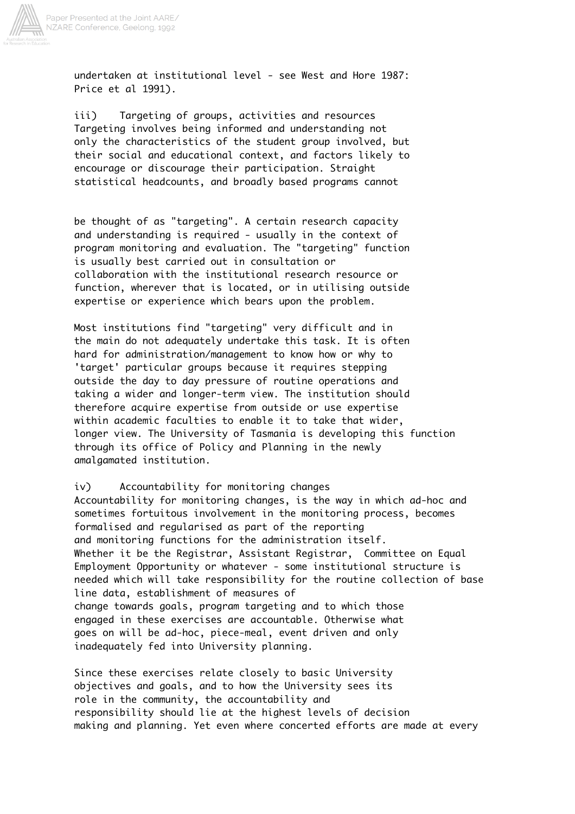

undertaken at institutional level - see West and Hore 1987: Price et al 1991).

iii) Targeting of groups, activities and resources Targeting involves being informed and understanding not only the characteristics of the student group involved, but their social and educational context, and factors likely to encourage or discourage their participation. Straight statistical headcounts, and broadly based programs cannot

be thought of as "targeting". A certain research capacity and understanding is required - usually in the context of program monitoring and evaluation. The "targeting" function is usually best carried out in consultation or collaboration with the institutional research resource or function, wherever that is located, or in utilising outside expertise or experience which bears upon the problem.

Most institutions find "targeting" very difficult and in the main do not adequately undertake this task. It is often hard for administration/management to know how or why to 'target' particular groups because it requires stepping outside the day to day pressure of routine operations and taking a wider and longer-term view. The institution should therefore acquire expertise from outside or use expertise within academic faculties to enable it to take that wider, longer view. The University of Tasmania is developing this function through its office of Policy and Planning in the newly amalgamated institution.

iv) Accountability for monitoring changes Accountability for monitoring changes, is the way in which ad-hoc and sometimes fortuitous involvement in the monitoring process, becomes formalised and regularised as part of the reporting and monitoring functions for the administration itself. Whether it be the Registrar, Assistant Registrar, Committee on Equal Employment Opportunity or whatever - some institutional structure is needed which will take responsibility for the routine collection of base line data, establishment of measures of change towards goals, program targeting and to which those engaged in these exercises are accountable. Otherwise what goes on will be ad-hoc, piece-meal, event driven and only inadequately fed into University planning.

Since these exercises relate closely to basic University objectives and goals, and to how the University sees its role in the community, the accountability and responsibility should lie at the highest levels of decision making and planning. Yet even where concerted efforts are made at every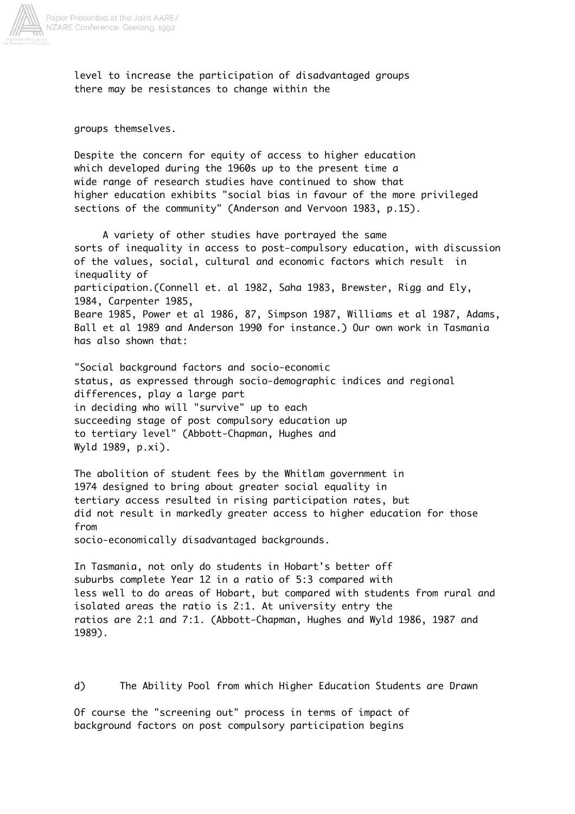

level to increase the participation of disadvantaged groups there may be resistances to change within the

groups themselves.

Despite the concern for equity of access to higher education which developed during the 1960s up to the present time a wide range of research studies have continued to show that higher education exhibits "social bias in favour of the more privileged sections of the community" (Anderson and Vervoon 1983, p.15).

 A variety of other studies have portrayed the same sorts of inequality in access to post-compulsory education, with discussion of the values, social, cultural and economic factors which result in inequality of participation.(Connell et. al 1982, Saha 1983, Brewster, Rigg and Ely, 1984, Carpenter 1985, Beare 1985, Power et al 1986, 87, Simpson 1987, Williams et al 1987, Adams, Ball et al 1989 and Anderson 1990 for instance.) Our own work in Tasmania has also shown that:

"Social background factors and socio-economic status, as expressed through socio-demographic indices and regional differences, play a large part in deciding who will "survive" up to each succeeding stage of post compulsory education up to tertiary level" (Abbott-Chapman, Hughes and Wyld 1989, p.xi).

The abolition of student fees by the Whitlam government in 1974 designed to bring about greater social equality in tertiary access resulted in rising participation rates, but did not result in markedly greater access to higher education for those from

socio-economically disadvantaged backgrounds.

In Tasmania, not only do students in Hobart's better off suburbs complete Year 12 in a ratio of 5:3 compared with less well to do areas of Hobart, but compared with students from rural and isolated areas the ratio is 2:1. At university entry the ratios are 2:1 and 7:1. (Abbott-Chapman, Hughes and Wyld 1986, 1987 and 1989).

d) The Ability Pool from which Higher Education Students are Drawn

Of course the "screening out" process in terms of impact of background factors on post compulsory participation begins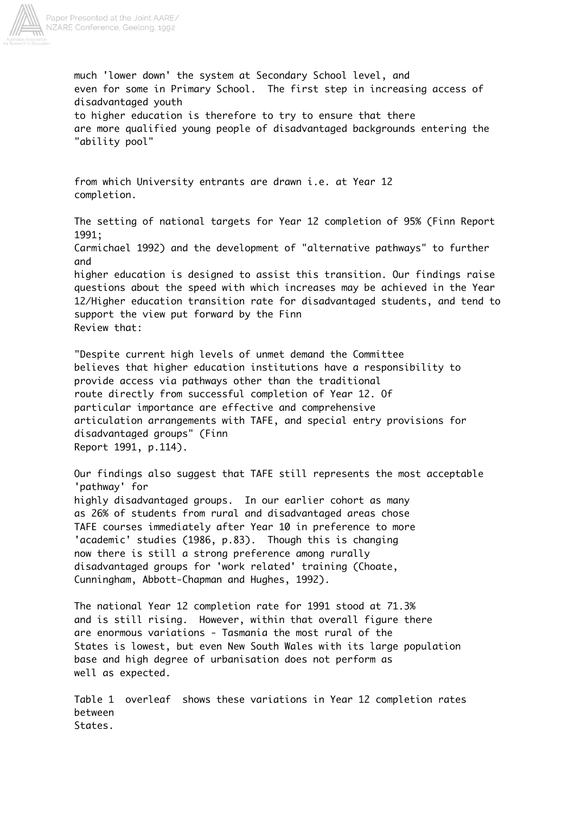

much 'lower down' the system at Secondary School level, and even for some in Primary School. The first step in increasing access of disadvantaged youth to higher education is therefore to try to ensure that there are more qualified young people of disadvantaged backgrounds entering the "ability pool"

from which University entrants are drawn i.e. at Year 12 completion.

The setting of national targets for Year 12 completion of 95% (Finn Report 1991;

Carmichael 1992) and the development of "alternative pathways" to further and

higher education is designed to assist this transition. Our findings raise questions about the speed with which increases may be achieved in the Year 12/Higher education transition rate for disadvantaged students, and tend to support the view put forward by the Finn Review that:

"Despite current high levels of unmet demand the Committee believes that higher education institutions have a responsibility to provide access via pathways other than the traditional route directly from successful completion of Year 12. Of particular importance are effective and comprehensive articulation arrangements with TAFE, and special entry provisions for disadvantaged groups" (Finn Report 1991, p.114).

Our findings also suggest that TAFE still represents the most acceptable 'pathway' for highly disadvantaged groups. In our earlier cohort as many as 26% of students from rural and disadvantaged areas chose TAFE courses immediately after Year 10 in preference to more 'academic' studies (1986, p.83). Though this is changing now there is still a strong preference among rurally disadvantaged groups for 'work related' training (Choate, Cunningham, Abbott-Chapman and Hughes, 1992).

The national Year 12 completion rate for 1991 stood at 71.3% and is still rising. However, within that overall figure there are enormous variations - Tasmania the most rural of the States is lowest, but even New South Wales with its large population base and high degree of urbanisation does not perform as well as expected.

Table 1 overleaf shows these variations in Year 12 completion rates between States.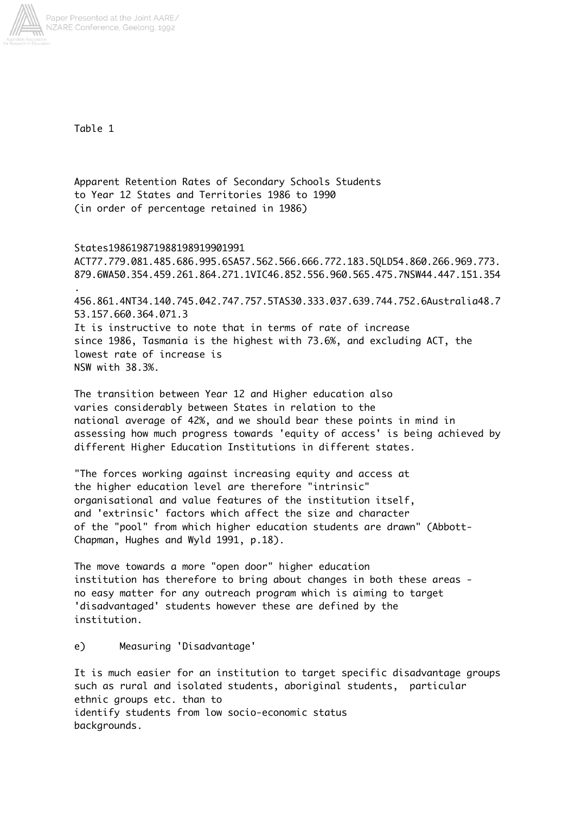

Table 1

Apparent Retention Rates of Secondary Schools Students to Year 12 States and Territories 1986 to 1990 (in order of percentage retained in 1986)

States198619871988198919901991 ACT77.779.081.485.686.995.6SA57.562.566.666.772.183.5QLD54.860.266.969.773. 879.6WA50.354.459.261.864.271.1VIC46.852.556.960.565.475.7NSW44.447.151.354 . 456.861.4NT34.140.745.042.747.757.5TAS30.333.037.639.744.752.6Australia48.7 53.157.660.364.071.3 It is instructive to note that in terms of rate of increase since 1986, Tasmania is the highest with 73.6%, and excluding ACT, the lowest rate of increase is NSW with 38.3%.

The transition between Year 12 and Higher education also varies considerably between States in relation to the national average of 42%, and we should bear these points in mind in assessing how much progress towards 'equity of access' is being achieved by different Higher Education Institutions in different states.

"The forces working against increasing equity and access at the higher education level are therefore "intrinsic" organisational and value features of the institution itself, and 'extrinsic' factors which affect the size and character of the "pool" from which higher education students are drawn" (Abbott-Chapman, Hughes and Wyld 1991, p.18).

The move towards a more "open door" higher education institution has therefore to bring about changes in both these areas no easy matter for any outreach program which is aiming to target 'disadvantaged' students however these are defined by the institution.

e) Measuring 'Disadvantage'

It is much easier for an institution to target specific disadvantage groups such as rural and isolated students, aboriginal students, particular ethnic groups etc. than to identify students from low socio-economic status backgrounds.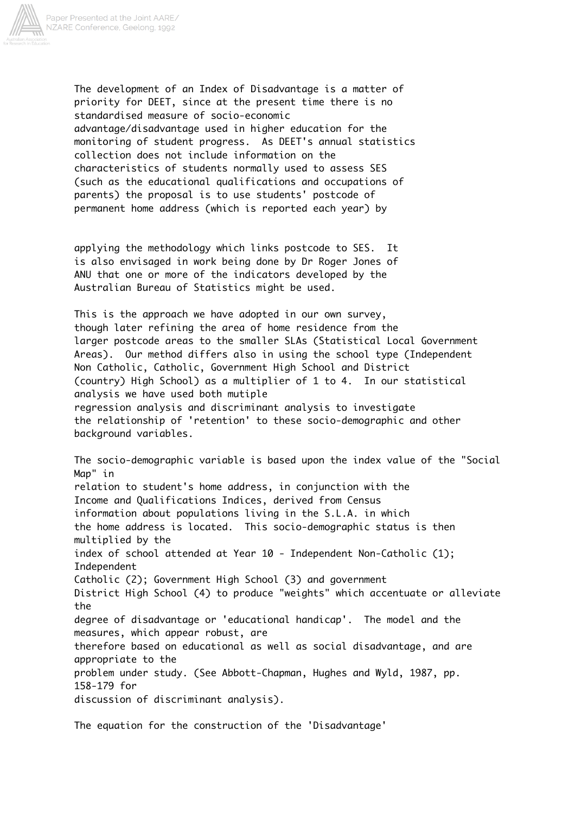

The development of an Index of Disadvantage is a matter of priority for DEET, since at the present time there is no standardised measure of socio-economic advantage/disadvantage used in higher education for the monitoring of student progress. As DEET's annual statistics collection does not include information on the characteristics of students normally used to assess SES (such as the educational qualifications and occupations of parents) the proposal is to use students' postcode of permanent home address (which is reported each year) by

applying the methodology which links postcode to SES. It is also envisaged in work being done by Dr Roger Jones of ANU that one or more of the indicators developed by the Australian Bureau of Statistics might be used.

This is the approach we have adopted in our own survey, though later refining the area of home residence from the larger postcode areas to the smaller SLAs (Statistical Local Government Areas). Our method differs also in using the school type (Independent Non Catholic, Catholic, Government High School and District (country) High School) as a multiplier of 1 to 4. In our statistical analysis we have used both mutiple regression analysis and discriminant analysis to investigate the relationship of 'retention' to these socio-demographic and other background variables.

The socio-demographic variable is based upon the index value of the "Social Map" in relation to student's home address, in conjunction with the Income and Qualifications Indices, derived from Census information about populations living in the S.L.A. in which the home address is located. This socio-demographic status is then multiplied by the index of school attended at Year 10 - Independent Non-Catholic (1); Independent Catholic (2); Government High School (3) and government District High School (4) to produce "weights" which accentuate or alleviate the degree of disadvantage or 'educational handicap'. The model and the measures, which appear robust, are therefore based on educational as well as social disadvantage, and are appropriate to the problem under study. (See Abbott-Chapman, Hughes and Wyld, 1987, pp. 158-179 for discussion of discriminant analysis).

The equation for the construction of the 'Disadvantage'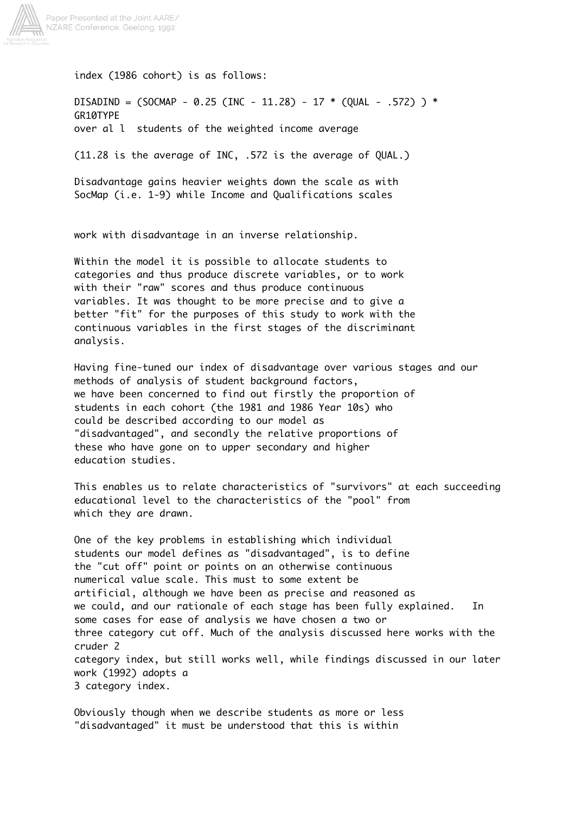

index (1986 cohort) is as follows:

DISADIND =  $(SOCMAP - 0.25 (INC - 11.28) - 17 * (OUAL - .572) ) *$ GR10TYPE over al l students of the weighted income average

(11.28 is the average of INC, .572 is the average of QUAL.)

Disadvantage gains heavier weights down the scale as with SocMap (i.e. 1-9) while Income and Qualifications scales

work with disadvantage in an inverse relationship.

Within the model it is possible to allocate students to categories and thus produce discrete variables, or to work with their "raw" scores and thus produce continuous variables. It was thought to be more precise and to give a better "fit" for the purposes of this study to work with the continuous variables in the first stages of the discriminant analysis.

Having fine-tuned our index of disadvantage over various stages and our methods of analysis of student background factors, we have been concerned to find out firstly the proportion of students in each cohort (the 1981 and 1986 Year 10s) who could be described according to our model as "disadvantaged", and secondly the relative proportions of these who have gone on to upper secondary and higher education studies.

This enables us to relate characteristics of "survivors" at each succeeding educational level to the characteristics of the "pool" from which they are drawn.

One of the key problems in establishing which individual students our model defines as "disadvantaged", is to define the "cut off" point or points on an otherwise continuous numerical value scale. This must to some extent be artificial, although we have been as precise and reasoned as we could, and our rationale of each stage has been fully explained. In some cases for ease of analysis we have chosen a two or three category cut off. Much of the analysis discussed here works with the cruder 2 category index, but still works well, while findings discussed in our later work (1992) adopts a 3 category index.

Obviously though when we describe students as more or less "disadvantaged" it must be understood that this is within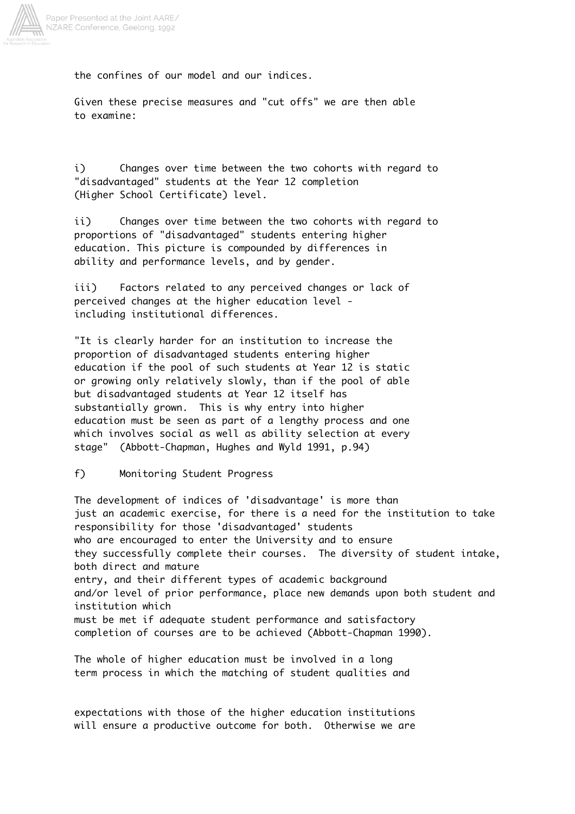

the confines of our model and our indices.

Given these precise measures and "cut offs" we are then able to examine:

i) Changes over time between the two cohorts with regard to "disadvantaged" students at the Year 12 completion (Higher School Certificate) level.

ii) Changes over time between the two cohorts with regard to proportions of "disadvantaged" students entering higher education. This picture is compounded by differences in ability and performance levels, and by gender.

iii) Factors related to any perceived changes or lack of perceived changes at the higher education level including institutional differences.

"It is clearly harder for an institution to increase the proportion of disadvantaged students entering higher education if the pool of such students at Year 12 is static or growing only relatively slowly, than if the pool of able but disadvantaged students at Year 12 itself has substantially grown. This is why entry into higher education must be seen as part of a lengthy process and one which involves social as well as ability selection at every stage" (Abbott-Chapman, Hughes and Wyld 1991, p.94)

f) Monitoring Student Progress

The development of indices of 'disadvantage' is more than just an academic exercise, for there is a need for the institution to take responsibility for those 'disadvantaged' students who are encouraged to enter the University and to ensure they successfully complete their courses. The diversity of student intake, both direct and mature entry, and their different types of academic background and/or level of prior performance, place new demands upon both student and institution which must be met if adequate student performance and satisfactory completion of courses are to be achieved (Abbott-Chapman 1990).

The whole of higher education must be involved in a long term process in which the matching of student qualities and

expectations with those of the higher education institutions will ensure a productive outcome for both. Otherwise we are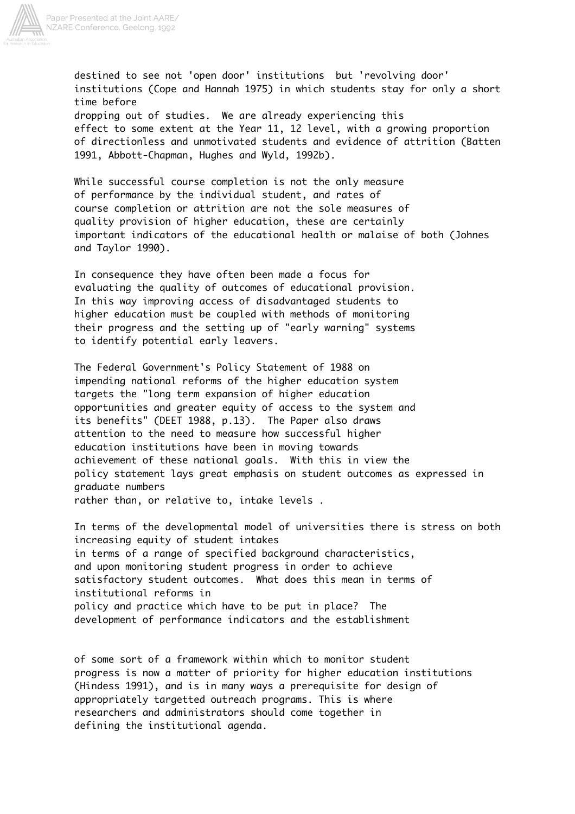

destined to see not 'open door' institutions but 'revolving door' institutions (Cope and Hannah 1975) in which students stay for only a short time before dropping out of studies. We are already experiencing this effect to some extent at the Year 11, 12 level, with a growing proportion of directionless and unmotivated students and evidence of attrition (Batten 1991, Abbott-Chapman, Hughes and Wyld, 1992b).

While successful course completion is not the only measure of performance by the individual student, and rates of course completion or attrition are not the sole measures of quality provision of higher education, these are certainly important indicators of the educational health or malaise of both (Johnes and Taylor 1990).

In consequence they have often been made a focus for evaluating the quality of outcomes of educational provision. In this way improving access of disadvantaged students to higher education must be coupled with methods of monitoring their progress and the setting up of "early warning" systems to identify potential early leavers.

The Federal Government's Policy Statement of 1988 on impending national reforms of the higher education system targets the "long term expansion of higher education opportunities and greater equity of access to the system and its benefits" (DEET 1988, p.13). The Paper also draws attention to the need to measure how successful higher education institutions have been in moving towards achievement of these national goals. With this in view the policy statement lays great emphasis on student outcomes as expressed in graduate numbers rather than, or relative to, intake levels .

In terms of the developmental model of universities there is stress on both increasing equity of student intakes in terms of a range of specified background characteristics, and upon monitoring student progress in order to achieve satisfactory student outcomes. What does this mean in terms of institutional reforms in policy and practice which have to be put in place? The development of performance indicators and the establishment

of some sort of a framework within which to monitor student progress is now a matter of priority for higher education institutions (Hindess 1991), and is in many ways a prerequisite for design of appropriately targetted outreach programs. This is where researchers and administrators should come together in defining the institutional agenda.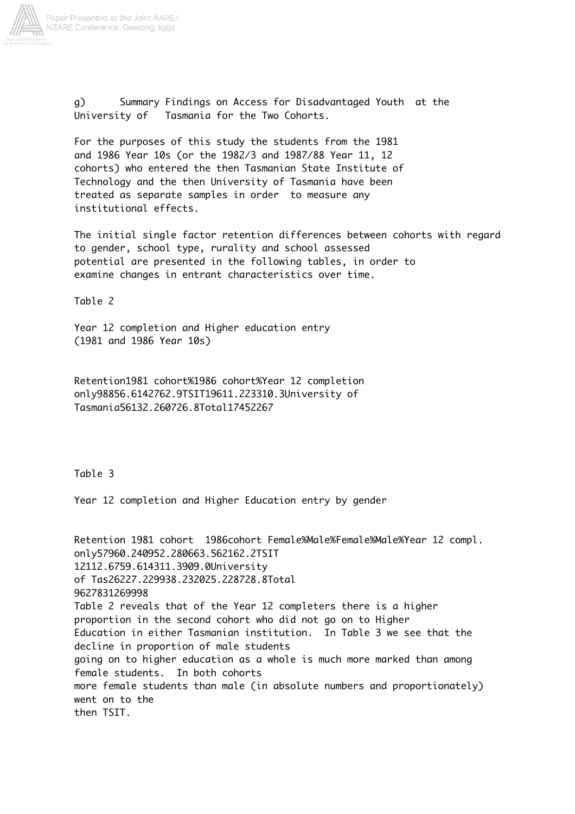

g) Summary Findings on Access for Disadvantaged Youth at the University of Tasmania for the Two Cohorts.

For the purposes of this study the students from the 1981 and 1986 Year 10s (or the 1982/3 and 1987/88 Year 11, 12 cohorts) who entered the then Tasmanian State Institute of Technology and the then University of Tasmania have been treated as separate samples in order to measure any institutional effects.

The initial single factor retention differences between cohorts with regard to gender, school type, rurality and school assessed potential are presented in the following tables, in order to examine changes in entrant characteristics over time.

Table 2

Year 12 completion and Higher education entry (1981 and 1986 Year 10s)

Retention1981 cohort%1986 cohort%Year 12 completion only98856.6142762.9TSIT19611.223310.3University of Tasmania56132.260726.8Total17452267

Table 3

Year 12 completion and Higher Education entry by gender

Retention 1981 cohort 1986cohort Female%Male%Female%Male%Year 12 compl. only57960.240952.280663.562162.2TSIT 12112.6759.614311.3909.0University of Tas26227.229938.232025.228728.8Total 9627831269998 Table 2 reveals that of the Year 12 completers there is a higher proportion in the second cohort who did not go on to Higher Education in either Tasmanian institution. In Table 3 we see that the decline in proportion of male students going on to higher education as a whole is much more marked than among female students. In both cohorts more female students than male (in absolute numbers and proportionately) went on to the then TSIT.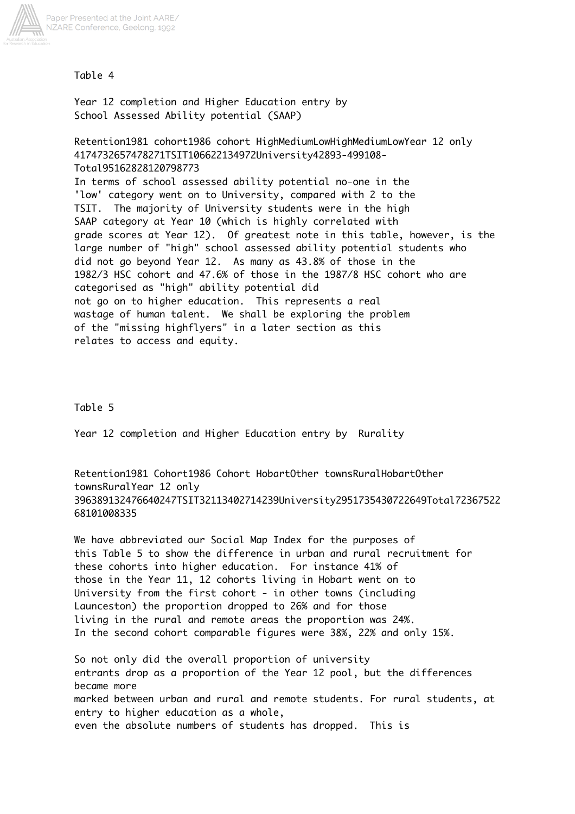

### Table 4

Year 12 completion and Higher Education entry by School Assessed Ability potential (SAAP)

Retention1981 cohort1986 cohort HighMediumLowHighMediumLowYear 12 only 4174732657478271TSIT106622134972University42893-499108- Total95162828120798773

In terms of school assessed ability potential no-one in the 'low' category went on to University, compared with 2 to the TSIT. The majority of University students were in the high SAAP category at Year 10 (which is highly correlated with grade scores at Year 12). Of greatest note in this table, however, is the large number of "high" school assessed ability potential students who did not go beyond Year 12. As many as 43.8% of those in the 1982/3 HSC cohort and 47.6% of those in the 1987/8 HSC cohort who are categorised as "high" ability potential did not go on to higher education. This represents a real wastage of human talent. We shall be exploring the problem of the "missing highflyers" in a later section as this relates to access and equity.

### Table 5

Year 12 completion and Higher Education entry by Rurality

Retention1981 Cohort1986 Cohort HobartOther townsRuralHobartOther townsRuralYear 12 only 396389132476640247TSIT32113402714239University2951735430722649Total72367522 68101008335

We have abbreviated our Social Map Index for the purposes of this Table 5 to show the difference in urban and rural recruitment for these cohorts into higher education. For instance 41% of those in the Year 11, 12 cohorts living in Hobart went on to University from the first cohort - in other towns (including Launceston) the proportion dropped to 26% and for those living in the rural and remote areas the proportion was 24%. In the second cohort comparable figures were 38%, 22% and only 15%.

So not only did the overall proportion of university entrants drop as a proportion of the Year 12 pool, but the differences became more marked between urban and rural and remote students. For rural students, at entry to higher education as a whole, even the absolute numbers of students has dropped. This is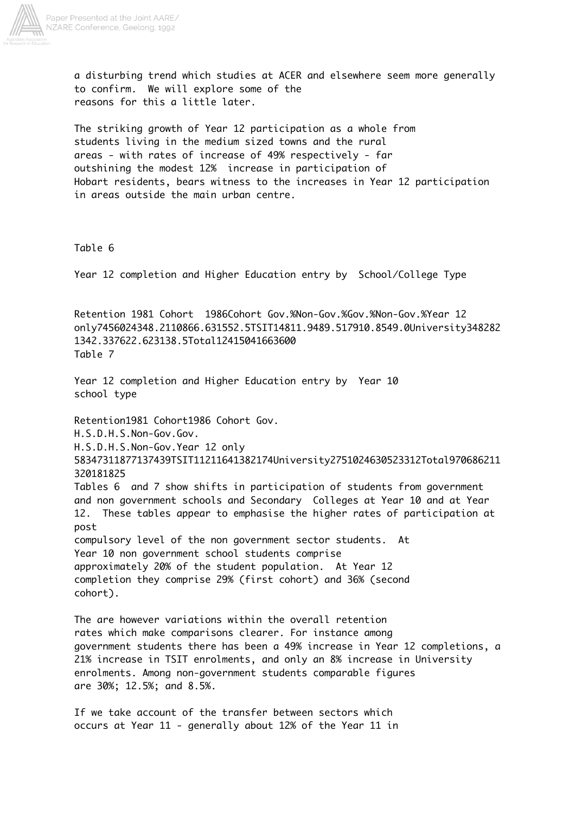

a disturbing trend which studies at ACER and elsewhere seem more generally to confirm. We will explore some of the reasons for this a little later.

The striking growth of Year 12 participation as a whole from students living in the medium sized towns and the rural areas - with rates of increase of 49% respectively - far outshining the modest 12% increase in participation of Hobart residents, bears witness to the increases in Year 12 participation in areas outside the main urban centre.

#### Table 6

Year 12 completion and Higher Education entry by School/College Type

Retention 1981 Cohort 1986Cohort Gov.%Non-Gov.%Gov.%Non-Gov.%Year 12 only7456024348.2110866.631552.5TSIT14811.9489.517910.8549.0University348282 1342.337622.623138.5Total12415041663600 Table 7

Year 12 completion and Higher Education entry by Year 10 school type

Retention1981 Cohort1986 Cohort Gov.

H.S.D.H.S.Non-Gov.Gov.

H.S.D.H.S.Non-Gov.Year 12 only

58347311877137439TSIT11211641382174University2751024630523312Total970686211 320181825

Tables 6 and 7 show shifts in participation of students from government and non government schools and Secondary Colleges at Year 10 and at Year 12. These tables appear to emphasise the higher rates of participation at post

compulsory level of the non government sector students. At Year 10 non government school students comprise approximately 20% of the student population. At Year 12 completion they comprise 29% (first cohort) and 36% (second cohort).

The are however variations within the overall retention rates which make comparisons clearer. For instance among government students there has been a 49% increase in Year 12 completions, a 21% increase in TSIT enrolments, and only an 8% increase in University enrolments. Among non-government students comparable figures are 30%; 12.5%; and 8.5%.

If we take account of the transfer between sectors which occurs at Year 11 - generally about 12% of the Year 11 in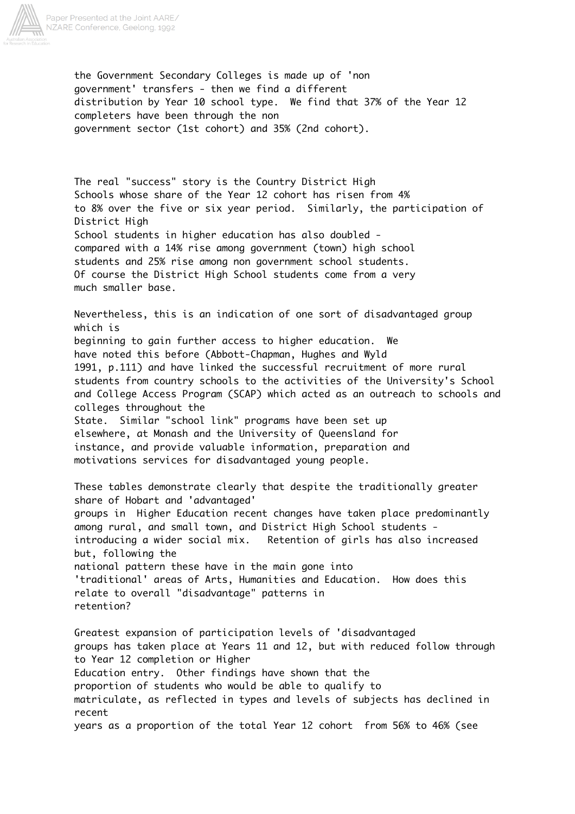

the Government Secondary Colleges is made up of 'non government' transfers - then we find a different distribution by Year 10 school type. We find that 37% of the Year 12 completers have been through the non government sector (1st cohort) and 35% (2nd cohort).

The real "success" story is the Country District High Schools whose share of the Year 12 cohort has risen from 4% to 8% over the five or six year period. Similarly, the participation of District High School students in higher education has also doubled compared with a 14% rise among government (town) high school students and 25% rise among non government school students. Of course the District High School students come from a very much smaller base.

Nevertheless, this is an indication of one sort of disadvantaged group which is beginning to gain further access to higher education. We have noted this before (Abbott-Chapman, Hughes and Wyld 1991, p.111) and have linked the successful recruitment of more rural students from country schools to the activities of the University's School and College Access Program (SCAP) which acted as an outreach to schools and colleges throughout the State. Similar "school link" programs have been set up elsewhere, at Monash and the University of Queensland for instance, and provide valuable information, preparation and

motivations services for disadvantaged young people.

These tables demonstrate clearly that despite the traditionally greater share of Hobart and 'advantaged' groups in Higher Education recent changes have taken place predominantly among rural, and small town, and District High School students introducing a wider social mix. Retention of girls has also increased but, following the national pattern these have in the main gone into 'traditional' areas of Arts, Humanities and Education. How does this relate to overall "disadvantage" patterns in retention?

Greatest expansion of participation levels of 'disadvantaged groups has taken place at Years 11 and 12, but with reduced follow through to Year 12 completion or Higher Education entry. Other findings have shown that the proportion of students who would be able to qualify to matriculate, as reflected in types and levels of subjects has declined in recent years as a proportion of the total Year 12 cohort from 56% to 46% (see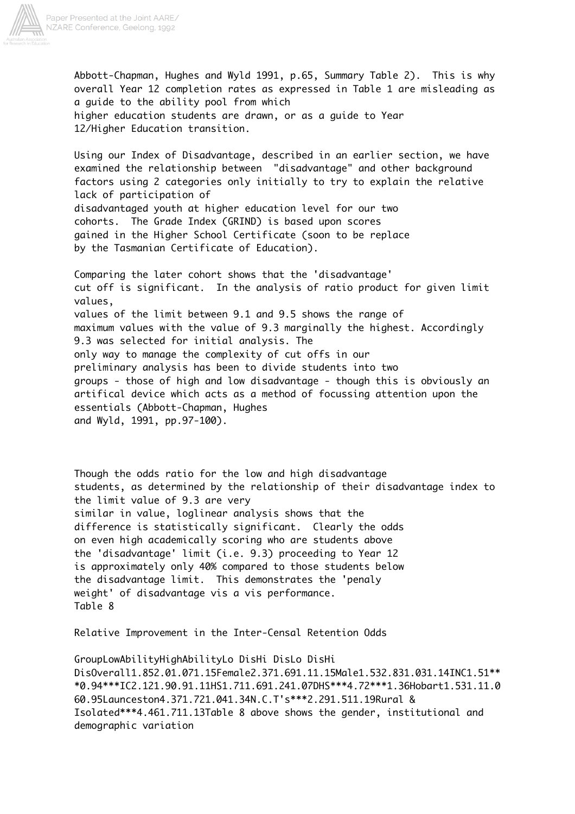

Abbott-Chapman, Hughes and Wyld 1991, p.65, Summary Table 2). This is why overall Year 12 completion rates as expressed in Table 1 are misleading as a guide to the ability pool from which higher education students are drawn, or as a guide to Year 12/Higher Education transition.

Using our Index of Disadvantage, described in an earlier section, we have examined the relationship between "disadvantage" and other background factors using 2 categories only initially to try to explain the relative lack of participation of disadvantaged youth at higher education level for our two cohorts. The Grade Index (GRIND) is based upon scores gained in the Higher School Certificate (soon to be replace by the Tasmanian Certificate of Education).

Comparing the later cohort shows that the 'disadvantage' cut off is significant. In the analysis of ratio product for given limit values, values of the limit between 9.1 and 9.5 shows the range of maximum values with the value of 9.3 marginally the highest. Accordingly 9.3 was selected for initial analysis. The only way to manage the complexity of cut offs in our preliminary analysis has been to divide students into two groups - those of high and low disadvantage - though this is obviously an artifical device which acts as a method of focussing attention upon the essentials (Abbott-Chapman, Hughes and Wyld, 1991, pp.97-100).

Though the odds ratio for the low and high disadvantage students, as determined by the relationship of their disadvantage index to the limit value of 9.3 are very similar in value, loglinear analysis shows that the difference is statistically significant. Clearly the odds on even high academically scoring who are students above the 'disadvantage' limit (i.e. 9.3) proceeding to Year 12 is approximately only 40% compared to those students below the disadvantage limit. This demonstrates the 'penaly weight' of disadvantage vis a vis performance. Table 8

Relative Improvement in the Inter-Censal Retention Odds

GroupLowAbilityHighAbilityLo DisHi DisLo DisHi DisOverall1.852.01.071.15Female2.371.691.11.15Male1.532.831.031.14INC1.51\*\* \*0.94\*\*\*IC2.121.90.91.11HS1.711.691.241.07DHS\*\*\*4.72\*\*\*1.36Hobart1.531.11.0 60.95Launceston4.371.721.041.34N.C.T's\*\*\*2.291.511.19Rural & Isolated\*\*\*4.461.711.13Table 8 above shows the gender, institutional and demographic variation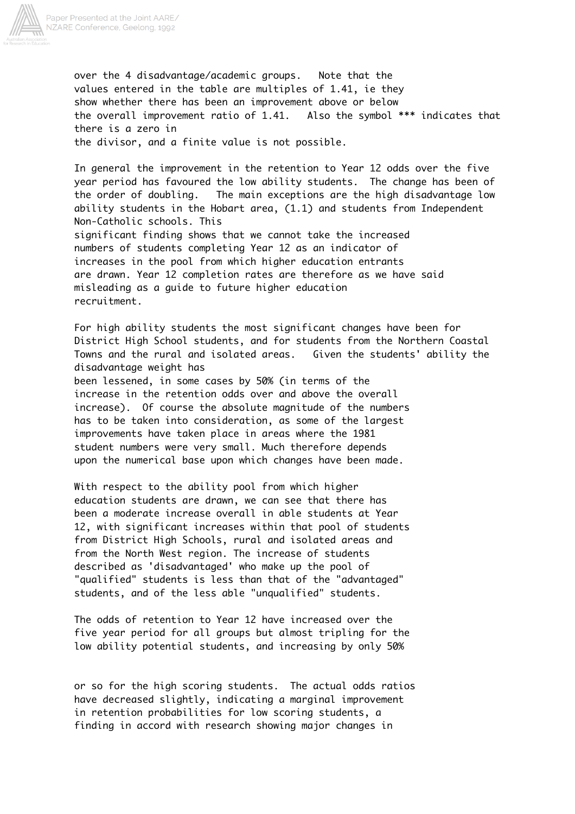

over the 4 disadvantage/academic groups. Note that the values entered in the table are multiples of 1.41, ie they show whether there has been an improvement above or below the overall improvement ratio of 1.41. Also the symbol \*\*\* indicates that there is a zero in the divisor, and a finite value is not possible.

In general the improvement in the retention to Year 12 odds over the five year period has favoured the low ability students. The change has been of the order of doubling. The main exceptions are the high disadvantage low ability students in the Hobart area, (1.1) and students from Independent Non-Catholic schools. This significant finding shows that we cannot take the increased numbers of students completing Year 12 as an indicator of increases in the pool from which higher education entrants are drawn. Year 12 completion rates are therefore as we have said misleading as a guide to future higher education recruitment.

For high ability students the most significant changes have been for District High School students, and for students from the Northern Coastal Towns and the rural and isolated areas. Given the students' ability the disadvantage weight has

been lessened, in some cases by 50% (in terms of the increase in the retention odds over and above the overall increase). Of course the absolute magnitude of the numbers has to be taken into consideration, as some of the largest improvements have taken place in areas where the 1981 student numbers were very small. Much therefore depends upon the numerical base upon which changes have been made.

With respect to the ability pool from which higher education students are drawn, we can see that there has been a moderate increase overall in able students at Year 12, with significant increases within that pool of students from District High Schools, rural and isolated areas and from the North West region. The increase of students described as 'disadvantaged' who make up the pool of "qualified" students is less than that of the "advantaged" students, and of the less able "unqualified" students.

The odds of retention to Year 12 have increased over the five year period for all groups but almost tripling for the low ability potential students, and increasing by only 50%

or so for the high scoring students. The actual odds ratios have decreased slightly, indicating a marginal improvement in retention probabilities for low scoring students, a finding in accord with research showing major changes in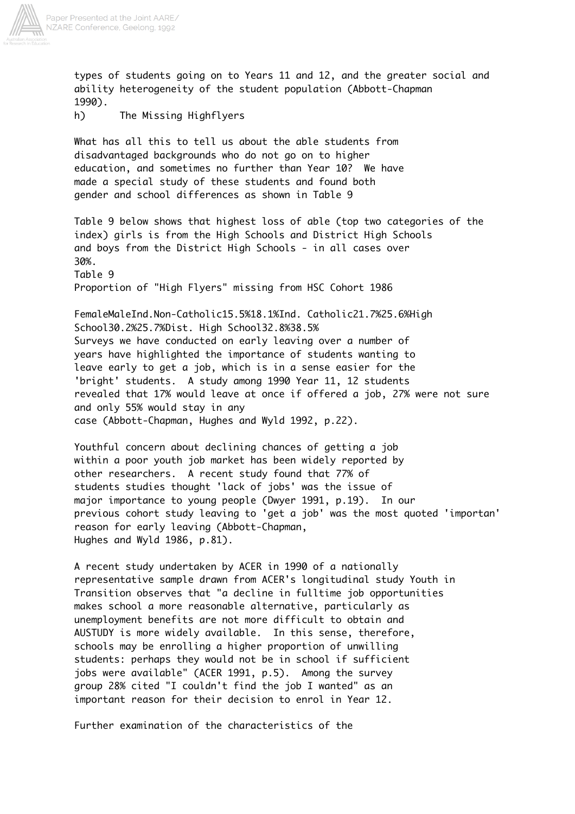

types of students going on to Years 11 and 12, and the greater social and ability heterogeneity of the student population (Abbott-Chapman 1990).

h) The Missing Highflyers

What has all this to tell us about the able students from disadvantaged backgrounds who do not go on to higher education, and sometimes no further than Year 10? We have made a special study of these students and found both gender and school differences as shown in Table 9

Table 9 below shows that highest loss of able (top two categories of the index) girls is from the High Schools and District High Schools and boys from the District High Schools - in all cases over 30%. Table 9

Proportion of "High Flyers" missing from HSC Cohort 1986

FemaleMaleInd.Non-Catholic15.5%18.1%Ind. Catholic21.7%25.6%High School30.2%25.7%Dist. High School32.8%38.5% Surveys we have conducted on early leaving over a number of years have highlighted the importance of students wanting to leave early to get a job, which is in a sense easier for the 'bright' students. A study among 1990 Year 11, 12 students revealed that 17% would leave at once if offered a job, 27% were not sure and only 55% would stay in any case (Abbott-Chapman, Hughes and Wyld 1992, p.22).

Youthful concern about declining chances of getting a job within a poor youth job market has been widely reported by other researchers. A recent study found that 77% of students studies thought 'lack of jobs' was the issue of major importance to young people (Dwyer 1991, p.19). In our previous cohort study leaving to 'get a job' was the most quoted 'importan' reason for early leaving (Abbott-Chapman, Hughes and Wyld 1986, p.81).

A recent study undertaken by ACER in 1990 of a nationally representative sample drawn from ACER's longitudinal study Youth in Transition observes that "a decline in fulltime job opportunities makes school a more reasonable alternative, particularly as unemployment benefits are not more difficult to obtain and AUSTUDY is more widely available. In this sense, therefore, schools may be enrolling a higher proportion of unwilling students: perhaps they would not be in school if sufficient jobs were available" (ACER 1991, p.5). Among the survey group 28% cited "I couldn't find the job I wanted" as an important reason for their decision to enrol in Year 12.

Further examination of the characteristics of the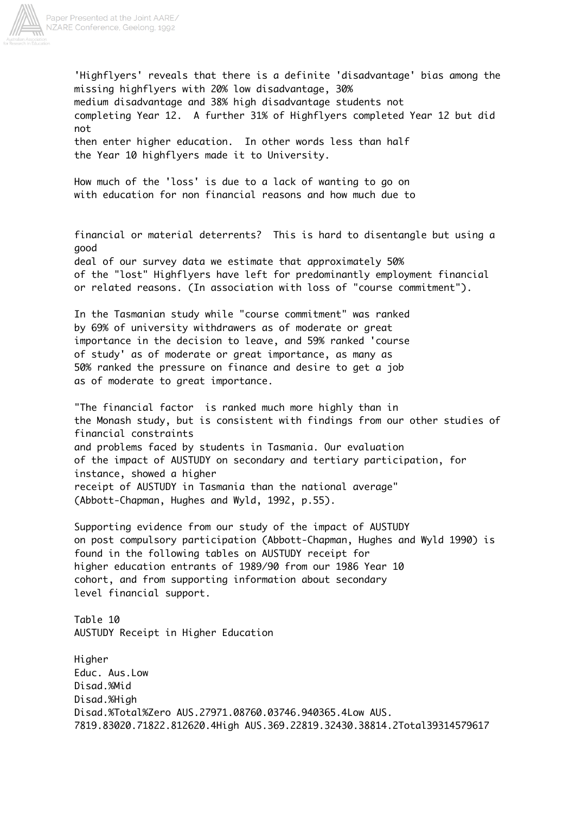

'Highflyers' reveals that there is a definite 'disadvantage' bias among the missing highflyers with 20% low disadvantage, 30% medium disadvantage and 38% high disadvantage students not completing Year 12. A further 31% of Highflyers completed Year 12 but did not then enter higher education. In other words less than half the Year 10 highflyers made it to University.

How much of the 'loss' is due to a lack of wanting to go on with education for non financial reasons and how much due to

financial or material deterrents? This is hard to disentangle but using a good deal of our survey data we estimate that approximately 50% of the "lost" Highflyers have left for predominantly employment financial or related reasons. (In association with loss of "course commitment").

In the Tasmanian study while "course commitment" was ranked by 69% of university withdrawers as of moderate or great importance in the decision to leave, and 59% ranked 'course of study' as of moderate or great importance, as many as 50% ranked the pressure on finance and desire to get a job as of moderate to great importance.

"The financial factor is ranked much more highly than in the Monash study, but is consistent with findings from our other studies of financial constraints and problems faced by students in Tasmania. Our evaluation of the impact of AUSTUDY on secondary and tertiary participation, for instance, showed a higher receipt of AUSTUDY in Tasmania than the national average" (Abbott-Chapman, Hughes and Wyld, 1992, p.55).

Supporting evidence from our study of the impact of AUSTUDY on post compulsory participation (Abbott-Chapman, Hughes and Wyld 1990) is found in the following tables on AUSTUDY receipt for higher education entrants of 1989/90 from our 1986 Year 10 cohort, and from supporting information about secondary level financial support.

Table 10 AUSTUDY Receipt in Higher Education

Higher Educ. Aus.Low Disad.%Mid Disad.%High Disad.%Total%Zero AUS.27971.08760.03746.940365.4Low AUS. 7819.83020.71822.812620.4High AUS.369.22819.32430.38814.2Total39314579617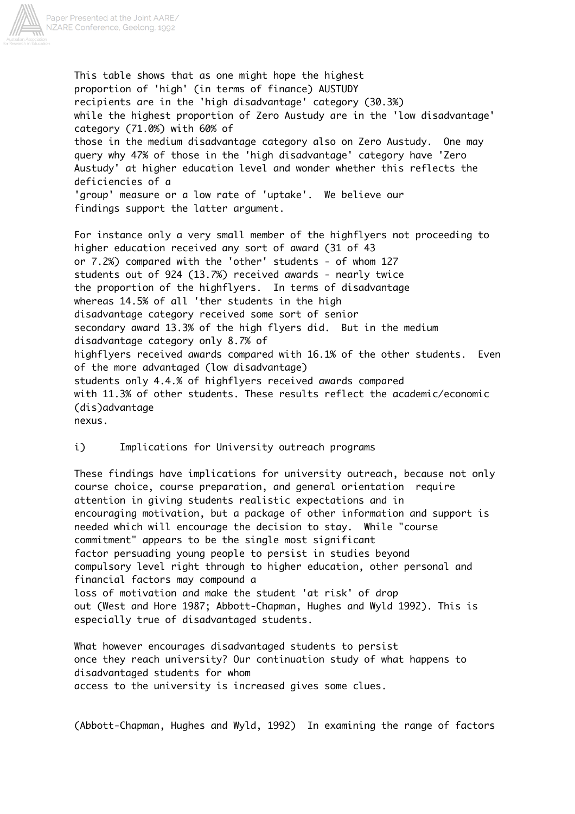

This table shows that as one might hope the highest proportion of 'high' (in terms of finance) AUSTUDY recipients are in the 'high disadvantage' category (30.3%) while the highest proportion of Zero Austudy are in the 'low disadvantage' category (71.0%) with 60% of those in the medium disadvantage category also on Zero Austudy. One may query why 47% of those in the 'high disadvantage' category have 'Zero Austudy' at higher education level and wonder whether this reflects the deficiencies of a 'group' measure or a low rate of 'uptake'. We believe our findings support the latter argument.

For instance only a very small member of the highflyers not proceeding to higher education received any sort of award (31 of 43 or 7.2%) compared with the 'other' students - of whom 127 students out of 924 (13.7%) received awards - nearly twice the proportion of the highflyers. In terms of disadvantage whereas 14.5% of all 'ther students in the high disadvantage category received some sort of senior secondary award 13.3% of the high flyers did. But in the medium disadvantage category only 8.7% of highflyers received awards compared with 16.1% of the other students. Even of the more advantaged (low disadvantage) students only 4.4.% of highflyers received awards compared with 11.3% of other students. These results reflect the academic/economic (dis)advantage nexus.

i) Implications for University outreach programs

These findings have implications for university outreach, because not only course choice, course preparation, and general orientation require attention in giving students realistic expectations and in encouraging motivation, but a package of other information and support is needed which will encourage the decision to stay. While "course commitment" appears to be the single most significant factor persuading young people to persist in studies beyond compulsory level right through to higher education, other personal and financial factors may compound a loss of motivation and make the student 'at risk' of drop out (West and Hore 1987; Abbott-Chapman, Hughes and Wyld 1992). This is especially true of disadvantaged students.

What however encourages disadvantaged students to persist once they reach university? Our continuation study of what happens to disadvantaged students for whom access to the university is increased gives some clues.

(Abbott-Chapman, Hughes and Wyld, 1992) In examining the range of factors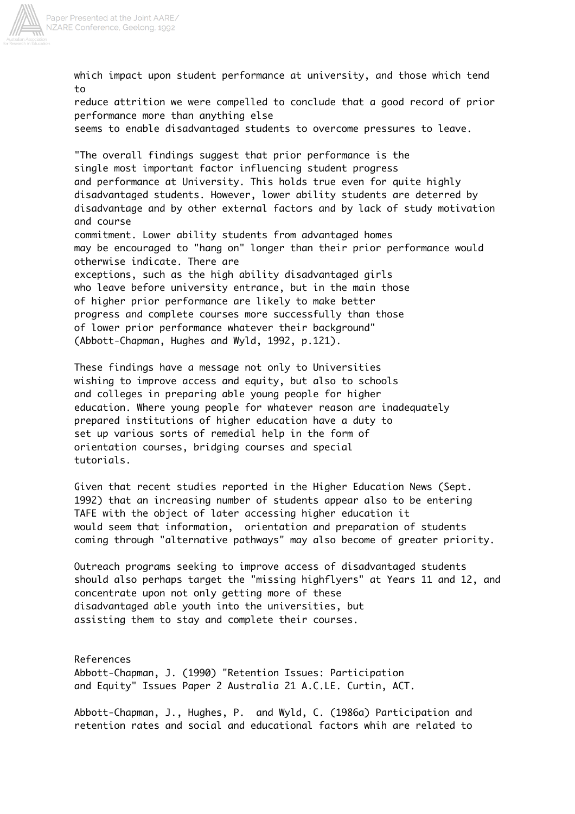

which impact upon student performance at university, and those which tend to reduce attrition we were compelled to conclude that a good record of prior performance more than anything else seems to enable disadvantaged students to overcome pressures to leave. "The overall findings suggest that prior performance is the single most important factor influencing student progress and performance at University. This holds true even for quite highly disadvantaged students. However, lower ability students are deterred by disadvantage and by other external factors and by lack of study motivation and course commitment. Lower ability students from advantaged homes may be encouraged to "hang on" longer than their prior performance would otherwise indicate. There are exceptions, such as the high ability disadvantaged girls who leave before university entrance, but in the main those

of higher prior performance are likely to make better progress and complete courses more successfully than those of lower prior performance whatever their background" (Abbott-Chapman, Hughes and Wyld, 1992, p.121).

These findings have a message not only to Universities wishing to improve access and equity, but also to schools and colleges in preparing able young people for higher education. Where young people for whatever reason are inadequately prepared institutions of higher education have a duty to set up various sorts of remedial help in the form of orientation courses, bridging courses and special tutorials.

Given that recent studies reported in the Higher Education News (Sept. 1992) that an increasing number of students appear also to be entering TAFE with the object of later accessing higher education it would seem that information, orientation and preparation of students coming through "alternative pathways" may also become of greater priority.

Outreach programs seeking to improve access of disadvantaged students should also perhaps target the "missing highflyers" at Years 11 and 12, and concentrate upon not only getting more of these disadvantaged able youth into the universities, but assisting them to stay and complete their courses.

References Abbott-Chapman, J. (1990) "Retention Issues: Participation and Equity" Issues Paper 2 Australia 21 A.C.LE. Curtin, ACT.

Abbott-Chapman, J., Hughes, P. and Wyld, C. (1986a) Participation and retention rates and social and educational factors whih are related to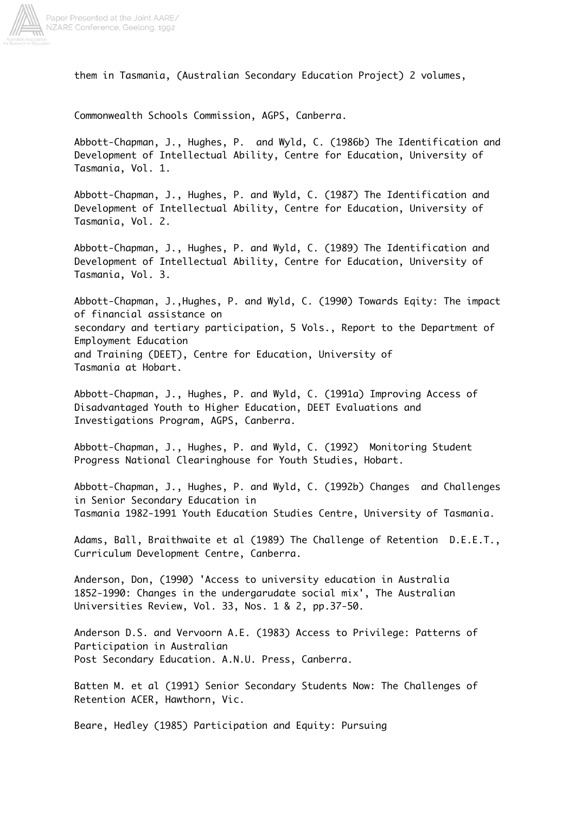

them in Tasmania, (Australian Secondary Education Project) 2 volumes,

Commonwealth Schools Commission, AGPS, Canberra.

Abbott-Chapman, J., Hughes, P. and Wyld, C. (1986b) The Identification and Development of Intellectual Ability, Centre for Education, University of Tasmania, Vol. 1.

Abbott-Chapman, J., Hughes, P. and Wyld, C. (1987) The Identification and Development of Intellectual Ability, Centre for Education, University of Tasmania, Vol. 2.

Abbott-Chapman, J., Hughes, P. and Wyld, C. (1989) The Identification and Development of Intellectual Ability, Centre for Education, University of Tasmania, Vol. 3.

Abbott-Chapman, J.,Hughes, P. and Wyld, C. (1990) Towards Eqity: The impact of financial assistance on secondary and tertiary participation, 5 Vols., Report to the Department of Employment Education and Training (DEET), Centre for Education, University of Tasmania at Hobart.

Abbott-Chapman, J., Hughes, P. and Wyld, C. (1991a) Improving Access of Disadvantaged Youth to Higher Education, DEET Evaluations and Investigations Program, AGPS, Canberra.

Abbott-Chapman, J., Hughes, P. and Wyld, C. (1992) Monitoring Student Progress National Clearinghouse for Youth Studies, Hobart.

Abbott-Chapman, J., Hughes, P. and Wyld, C. (1992b) Changes and Challenges in Senior Secondary Education in Tasmania 1982-1991 Youth Education Studies Centre, University of Tasmania.

Adams, Ball, Braithwaite et al (1989) The Challenge of Retention D.E.E.T., Curriculum Development Centre, Canberra.

Anderson, Don, (1990) 'Access to university education in Australia 1852-1990: Changes in the undergarudate social mix', The Australian Universities Review, Vol. 33, Nos. 1 & 2, pp.37-50.

Anderson D.S. and Vervoorn A.E. (1983) Access to Privilege: Patterns of Participation in Australian Post Secondary Education. A.N.U. Press, Canberra.

Batten M. et al (1991) Senior Secondary Students Now: The Challenges of Retention ACER, Hawthorn, Vic.

Beare, Hedley (1985) Participation and Equity: Pursuing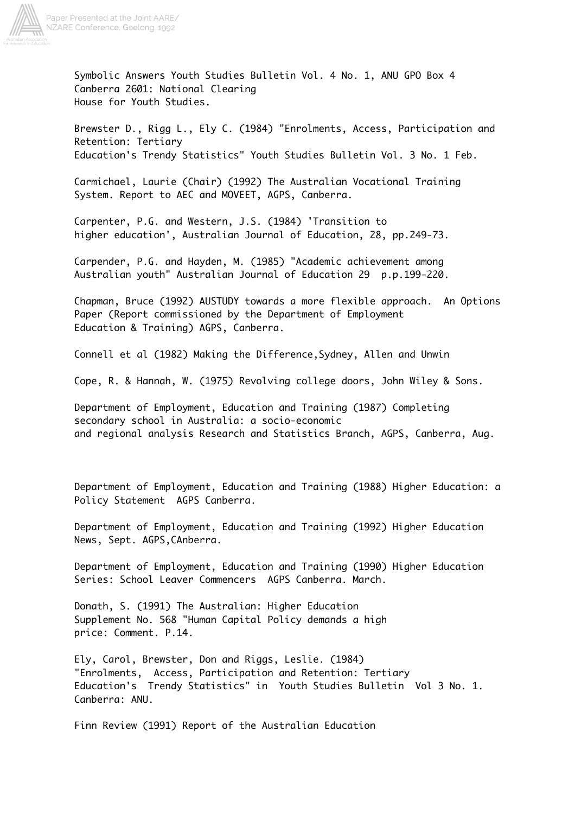

Symbolic Answers Youth Studies Bulletin Vol. 4 No. 1, ANU GPO Box 4 Canberra 2601: National Clearing House for Youth Studies.

Brewster D., Rigg L., Ely C. (1984) "Enrolments, Access, Participation and Retention: Tertiary Education's Trendy Statistics" Youth Studies Bulletin Vol. 3 No. 1 Feb.

Carmichael, Laurie (Chair) (1992) The Australian Vocational Training System. Report to AEC and MOVEET, AGPS, Canberra.

Carpenter, P.G. and Western, J.S. (1984) 'Transition to higher education', Australian Journal of Education, 28, pp.249-73.

Carpender, P.G. and Hayden, M. (1985) "Academic achievement among Australian youth" Australian Journal of Education 29 p.p.199-220.

Chapman, Bruce (1992) AUSTUDY towards a more flexible approach. An Options Paper (Report commissioned by the Department of Employment Education & Training) AGPS, Canberra.

Connell et al (1982) Making the Difference,Sydney, Allen and Unwin

Cope, R. & Hannah, W. (1975) Revolving college doors, John Wiley & Sons.

Department of Employment, Education and Training (1987) Completing secondary school in Australia: a socio-economic and regional analysis Research and Statistics Branch, AGPS, Canberra, Aug.

Department of Employment, Education and Training (1988) Higher Education: a Policy Statement AGPS Canberra.

Department of Employment, Education and Training (1992) Higher Education News, Sept. AGPS,CAnberra.

Department of Employment, Education and Training (1990) Higher Education Series: School Leaver Commencers AGPS Canberra. March.

Donath, S. (1991) The Australian: Higher Education Supplement No. 568 "Human Capital Policy demands a high price: Comment. P.14.

Ely, Carol, Brewster, Don and Riggs, Leslie. (1984) "Enrolments, Access, Participation and Retention: Tertiary Education's Trendy Statistics" in Youth Studies Bulletin Vol 3 No. 1. Canberra: ANU.

Finn Review (1991) Report of the Australian Education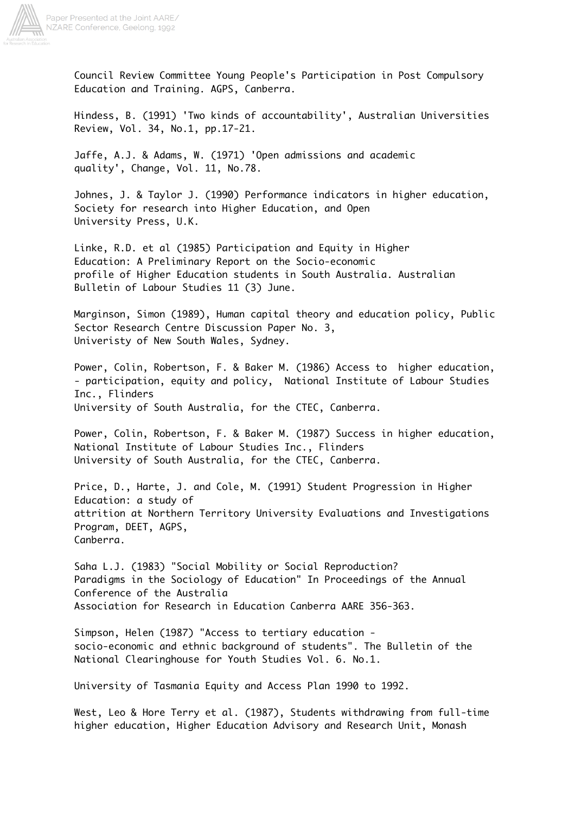

Council Review Committee Young People's Participation in Post Compulsory Education and Training. AGPS, Canberra.

Hindess, B. (1991) 'Two kinds of accountability', Australian Universities Review, Vol. 34, No.1, pp.17-21.

Jaffe, A.J. & Adams, W. (1971) 'Open admissions and academic quality', Change, Vol. 11, No.78.

Johnes, J. & Taylor J. (1990) Performance indicators in higher education, Society for research into Higher Education, and Open University Press, U.K.

Linke, R.D. et al (1985) Participation and Equity in Higher Education: A Preliminary Report on the Socio-economic profile of Higher Education students in South Australia. Australian Bulletin of Labour Studies 11 (3) June.

Marginson, Simon (1989), Human capital theory and education policy, Public Sector Research Centre Discussion Paper No. 3, Univeristy of New South Wales, Sydney.

Power, Colin, Robertson, F. & Baker M. (1986) Access to higher education, - participation, equity and policy, National Institute of Labour Studies Inc., Flinders University of South Australia, for the CTEC, Canberra.

Power, Colin, Robertson, F. & Baker M. (1987) Success in higher education, National Institute of Labour Studies Inc., Flinders University of South Australia, for the CTEC, Canberra.

Price, D., Harte, J. and Cole, M. (1991) Student Progression in Higher Education: a study of attrition at Northern Territory University Evaluations and Investigations Program, DEET, AGPS, Canberra.

Saha L.J. (1983) "Social Mobility or Social Reproduction? Paradigms in the Sociology of Education" In Proceedings of the Annual Conference of the Australia Association for Research in Education Canberra AARE 356-363.

Simpson, Helen (1987) "Access to tertiary education socio-economic and ethnic background of students". The Bulletin of the National Clearinghouse for Youth Studies Vol. 6. No.1.

University of Tasmania Equity and Access Plan 1990 to 1992.

West, Leo & Hore Terry et al. (1987), Students withdrawing from full-time higher education, Higher Education Advisory and Research Unit, Monash